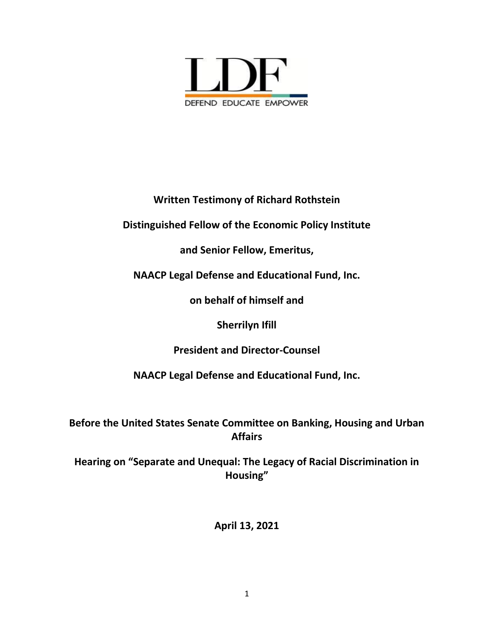

**Written Testimony of Richard Rothstein**

**Distinguished Fellow of the Economic Policy Institute** 

**and Senior Fellow, Emeritus,** 

**NAACP Legal Defense and Educational Fund, Inc.** 

**on behalf of himself and** 

**Sherrilyn Ifill** 

**President and Director-Counsel**

**NAACP Legal Defense and Educational Fund, Inc.**

**Before the United States Senate Committee on Banking, Housing and Urban Affairs** 

**Hearing on "Separate and Unequal: The Legacy of Racial Discrimination in Housing"**

**April 13, 2021**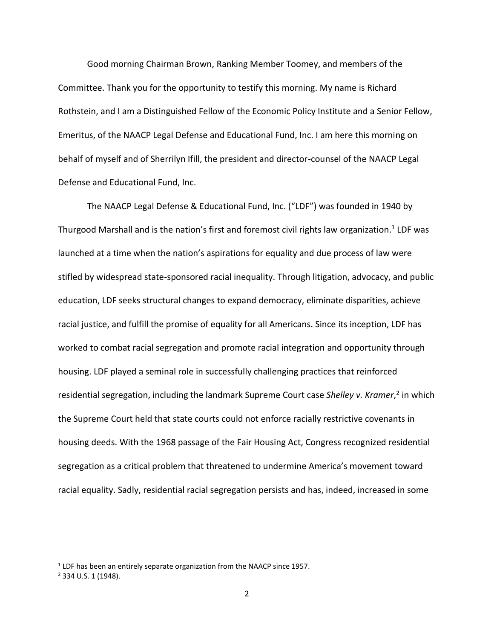Good morning Chairman Brown, Ranking Member Toomey, and members of the Committee. Thank you for the opportunity to testify this morning. My name is Richard Rothstein, and I am a Distinguished Fellow of the Economic Policy Institute and a Senior Fellow, Emeritus, of the NAACP Legal Defense and Educational Fund, Inc. I am here this morning on behalf of myself and of Sherrilyn Ifill, the president and director-counsel of the NAACP Legal Defense and Educational Fund, Inc.

The NAACP Legal Defense & Educational Fund, Inc. ("LDF") was founded in 1940 by Thurgood Marshall and is the nation's first and foremost civil rights law organization.<sup>1</sup> LDF was launched at a time when the nation's aspirations for equality and due process of law were stifled by widespread state-sponsored racial inequality. Through litigation, advocacy, and public education, LDF seeks structural changes to expand democracy, eliminate disparities, achieve racial justice, and fulfill the promise of equality for all Americans. Since its inception, LDF has worked to combat racial segregation and promote racial integration and opportunity through housing. LDF played a seminal role in successfully challenging practices that reinforced residential segregation, including the landmark Supreme Court case Shelley v. Kramer,<sup>2</sup> in which the Supreme Court held that state courts could not enforce racially restrictive covenants in housing deeds. With the 1968 passage of the Fair Housing Act, Congress recognized residential segregation as a critical problem that threatened to undermine America's movement toward racial equality. Sadly, residential racial segregation persists and has, indeed, increased in some

 $<sup>1</sup>$  LDF has been an entirely separate organization from the NAACP since 1957.</sup>

<sup>2</sup> 334 U.S. 1 (1948).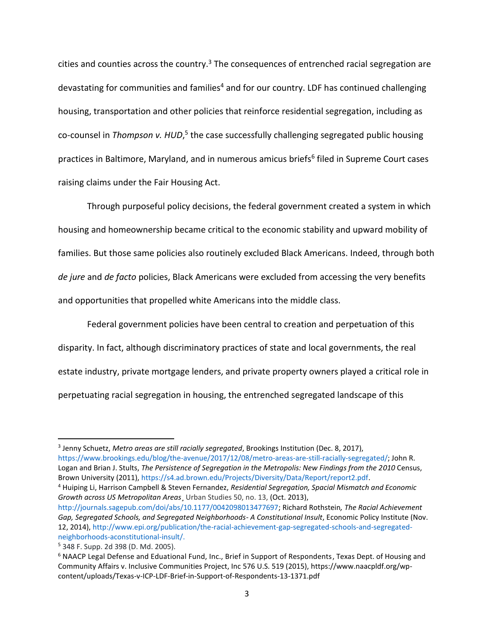cities and counties across the country.<sup>3</sup> The consequences of entrenched racial segregation are devastating for communities and families<sup>4</sup> and for our country. LDF has continued challenging housing, transportation and other policies that reinforce residential segregation, including as co-counsel in Thompson v. HUD,<sup>5</sup> the case successfully challenging segregated public housing practices in Baltimore, Maryland, and in numerous amicus briefs<sup>6</sup> filed in Supreme Court cases raising claims under the Fair Housing Act.

Through purposeful policy decisions, the federal government created a system in which housing and homeownership became critical to the economic stability and upward mobility of families. But those same policies also routinely excluded Black Americans. Indeed, through both *de jure* and *de facto* policies, Black Americans were excluded from accessing the very benefits and opportunities that propelled white Americans into the middle class.

Federal government policies have been central to creation and perpetuation of this disparity. In fact, although discriminatory practices of state and local governments, the real estate industry, private mortgage lenders, and private property owners played a critical role in perpetuating racial segregation in housing, the entrenched segregated landscape of this

<sup>3</sup> Jenny Schuetz, *Metro areas are still racially segregated*, Brookings Institution (Dec. 8, 2017), [https://www.brookings.edu/blog/the-avenue/2017/12/08/metro-areas-are-still-racially-segregated/;](https://www.brookings.edu/blog/the-avenue/2017/12/08/metro-areas-are-still-racially-segregated/) John R. Logan and Brian J. Stults, *The Persistence of Segregation in the Metropolis: New Findings from the 2010* Census, Brown University (2011), [https://s4.ad.brown.edu/Projects/Diversity/Data/Report/report2.pdf.](https://s4.ad.brown.edu/Projects/Diversity/Data/Report/report2.pdf)

<sup>4</sup> Huiping Li, Harrison Campbell & Steven Fernandez, *Residential Segregation, Spacial Mismatch and Economic Growth across US Metropolitan Areas*¸ Urban Studies 50, no. 13, (Oct. 2013),

[http://journals.sagepub.com/doi/abs/10.1177/0042098013477697;](http://journals.sagepub.com/doi/abs/10.1177/0042098013477697) Richard Rothstein*, The Racial Achievement Gap, Segregated Schools, and Segregated Neighborhoods- A Constitutional Insult*, Economic Policy Institute (Nov. 12, 2014), [http://www.epi.org/publication/the-racial-achievement-gap-segregated-schools-and-segregated](http://www.epi.org/publication/the-racial-achievement-gap-segregated-schools-and-segregated-neighborhoods-aconstitutional-insult/)[neighborhoods-aconstitutional-insult/.](http://www.epi.org/publication/the-racial-achievement-gap-segregated-schools-and-segregated-neighborhoods-aconstitutional-insult/)

<sup>5</sup> 348 F. Supp. 2d 398 (D. Md. 2005).

<sup>6</sup> [NAACP Legal Defense and Eduational Fund, Inc., Brief in Support of Respondents,](https://www.naacpldf.org/wp-content/uploads/Texas-v-ICP-LDF-Brief-in-Support-of-Respondents-13-1371.pdf) Texas Dept. of Housing and Community Affairs v. Inclusive Communities Project, Inc 576 U.S. 519 (2015), https://www.naacpldf.org/wpcontent/uploads/Texas-v-ICP-LDF-Brief-in-Support-of-Respondents-13-1371.pdf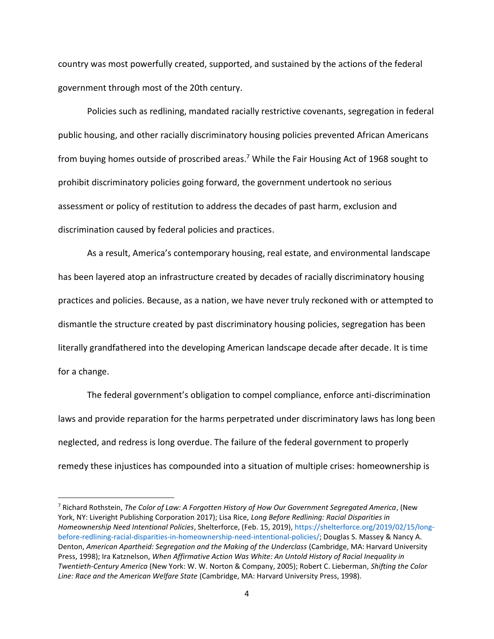country was most powerfully created, supported, and sustained by the actions of the federal government through most of the 20th century.

Policies such as redlining, mandated racially restrictive covenants, segregation in federal public housing, and other racially discriminatory housing policies prevented African Americans from buying homes outside of proscribed areas.<sup>7</sup> While the Fair Housing Act of 1968 sought to prohibit discriminatory policies going forward, the government undertook no serious assessment or policy of restitution to address the decades of past harm, exclusion and discrimination caused by federal policies and practices.

As a result, America's contemporary housing, real estate, and environmental landscape has been layered atop an infrastructure created by decades of racially discriminatory housing practices and policies. Because, as a nation, we have never truly reckoned with or attempted to dismantle the structure created by past discriminatory housing policies, segregation has been literally grandfathered into the developing American landscape decade after decade. It is time for a change.

The federal government's obligation to compel compliance, enforce anti-discrimination laws and provide reparation for the harms perpetrated under discriminatory laws has long been neglected, and redress is long overdue. The failure of the federal government to properly remedy these injustices has compounded into a situation of multiple crises: homeownership is

<sup>7</sup> Richard Rothstein, *The Color of Law: A Forgotten History of How Our Government Segregated America*, (New York, NY: Liveright Publishing Corporation 2017); Lisa Rice, *Long Before Redlining: Racial Disparities in Homeownership Need Intentional Policies*, Shelterforce, (Feb. 15, 2019)[, https://shelterforce.org/2019/02/15/long](https://shelterforce.org/2019/02/15/long-before-redlining-racial-disparities-in-homeownership-need-intentional-policies/)[before-redlining-racial-disparities-in-homeownership-need-intentional-policies/;](https://shelterforce.org/2019/02/15/long-before-redlining-racial-disparities-in-homeownership-need-intentional-policies/) Douglas S. Massey & Nancy A. Denton, *American Apartheid: Segregation and the Making of the Underclass* (Cambridge, MA: Harvard University Press, 1998); Ira Katznelson, *When Affirmative Action Was White: An Untold History of Racial Inequality in Twentieth-Century America* (New York: W. W. Norton & Company, 2005); Robert C. Lieberman, *Shifting the Color Line: Race and the American Welfare State* (Cambridge, MA: Harvard University Press, 1998).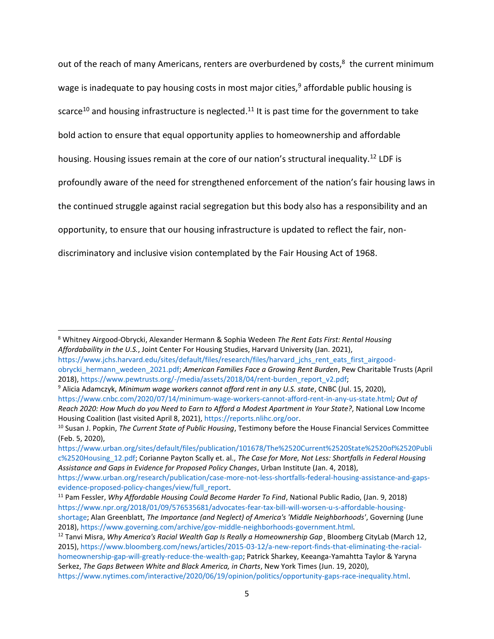out of the reach of many Americans, renters are overburdened by costs,<sup>8</sup> the current minimum wage is inadequate to pay housing costs in most major cities,  $9$  affordable public housing is scarce<sup>10</sup> and housing infrastructure is neglected.<sup>11</sup> It is past time for the government to take bold action to ensure that equal opportunity applies to homeownership and affordable housing. Housing issues remain at the core of our nation's structural inequality.<sup>12</sup> LDF is profoundly aware of the need for strengthened enforcement of the nation's fair housing laws in the continued struggle against racial segregation but this body also has a responsibility and an opportunity, to ensure that our housing infrastructure is updated to reflect the fair, nondiscriminatory and inclusive vision contemplated by the Fair Housing Act of 1968.

<sup>8</sup> Whitney Airgood-Obrycki, Alexander Hermann & Sophia Wedeen *The Rent Eats First: Rental Housing Affordabaility in the U.S.*, Joint Center For Housing Studies, Harvard University (Jan. 2021),

[https://www.jchs.harvard.edu/sites/default/files/research/files/harvard\\_jchs\\_rent\\_eats\\_first\\_airgood](https://www.jchs.harvard.edu/sites/default/files/research/files/harvard_jchs_rent_eats_first_airgood-obrycki_hermann_wedeen_2021.pdf)[obrycki\\_hermann\\_wedeen\\_2021.pdf;](https://www.jchs.harvard.edu/sites/default/files/research/files/harvard_jchs_rent_eats_first_airgood-obrycki_hermann_wedeen_2021.pdf) *American Families Face a Growing Rent Burden*, Pew Charitable Trusts (April 2018), [https://www.pewtrusts.org/-/media/assets/2018/04/rent-burden\\_report\\_v2.pdf;](https://www.pewtrusts.org/-/media/assets/2018/04/rent-burden_report_v2.pdf)

<sup>9</sup> Alicia Adamczyk, *Minimum wage workers cannot afford rent in any U.S. state*, CNBC (Jul. 15, 2020), <https://www.cnbc.com/2020/07/14/minimum-wage-workers-cannot-afford-rent-in-any-us-state.html>*; Out of Reach 2020: How Much do you Need to Earn to Afford a Modest Apartment in Your State?*, National Low Income Housing Coalition (last visited April 8, 2021), [https://reports.nlihc.org/oor.](https://reports.nlihc.org/oor) 

<sup>10</sup> Susan J. Popkin, *The Current State of Public Housing*, Testimony before the House Financial Services Committee (Feb. 5, 2020),

[https://www.urban.org/sites/default/files/publication/101678/The%2520Current%2520State%2520of%2520Publi](https://www.urban.org/sites/default/files/publication/101678/The%2520Current%2520State%2520of%2520Public%2520Housing_12.pdf) [c%2520Housing\\_12.pdf;](https://www.urban.org/sites/default/files/publication/101678/The%2520Current%2520State%2520of%2520Public%2520Housing_12.pdf) Corianne Payton Scally et. al., *The Case for More, Not Less: Shortfalls in Federal Housing Assistance and Gaps in Evidence for Proposed Policy Changes*, Urban Institute (Jan. 4, 2018),

[https://www.urban.org/research/publication/case-more-not-less-shortfalls-federal-housing-assistance-and-gaps](https://www.urban.org/research/publication/case-more-not-less-shortfalls-federal-housing-assistance-and-gaps-evidence-proposed-policy-changes/view/full_report)[evidence-proposed-policy-changes/view/full\\_report.](https://www.urban.org/research/publication/case-more-not-less-shortfalls-federal-housing-assistance-and-gaps-evidence-proposed-policy-changes/view/full_report)

<sup>11</sup> Pam Fessler, *Why Affordable Housing Could Become Harder To Find*, National Public Radio, (Jan. 9, 2018) [https://www.npr.org/2018/01/09/576535681/advocates-fear-tax-bill-will-worsen-u-s-affordable-housing](https://www.npr.org/2018/01/09/576535681/advocates-fear-tax-bill-will-worsen-u-s-affordable-housing-shortage)[shortage;](https://www.npr.org/2018/01/09/576535681/advocates-fear-tax-bill-will-worsen-u-s-affordable-housing-shortage) Alan Greenblatt, *The Importance (and Neglect) of America's 'Middle Neighborhoods'*, Governing (June 2018), [https://www.governing.com/archive/gov-middle-neighborhoods-government.html.](https://www.governing.com/archive/gov-middle-neighborhoods-government.html)

<sup>&</sup>lt;sup>12</sup> Tanvi Misra, *Why America's Racial Wealth Gap Is Really a Homeownership Gap*, Bloomberg CityLab (March 12, 2015), [https://www.bloomberg.com/news/articles/2015-03-12/a-new-report-finds-that-eliminating-the-racial](https://www.bloomberg.com/news/articles/2015-03-12/a-new-report-finds-that-eliminating-the-racial-homeownership-gap-will-greatly-reduce-the-wealth-gap)[homeownership-gap-will-greatly-reduce-the-wealth-gap;](https://www.bloomberg.com/news/articles/2015-03-12/a-new-report-finds-that-eliminating-the-racial-homeownership-gap-will-greatly-reduce-the-wealth-gap) Patrick Sharkey, Keeanga-Yamahtta Taylor & Yaryna Serkez, *The Gaps Between White and Black America, in Charts*, New York Times (Jun. 19, 2020),

[https://www.nytimes.com/interactive/2020/06/19/opinion/politics/opportunity-gaps-race-inequality.html.](https://www.nytimes.com/interactive/2020/06/19/opinion/politics/opportunity-gaps-race-inequality.html)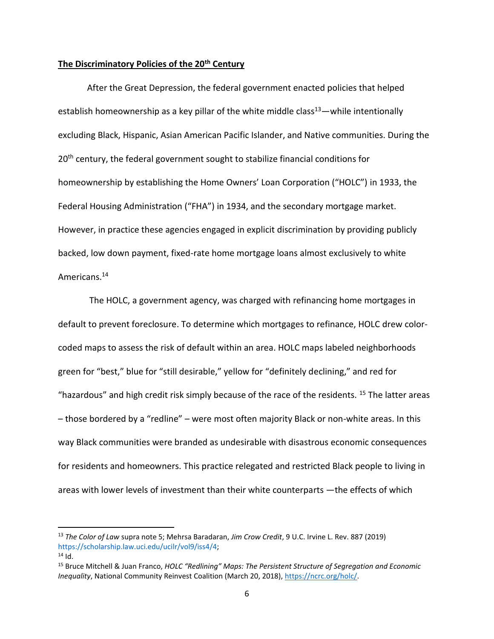## **The Discriminatory Policies of the 20th Century**

After the Great Depression, the federal government enacted policies that helped establish homeownership as a key pillar of the white middle class<sup>13</sup>—while intentionally excluding Black, Hispanic, Asian American Pacific Islander, and Native communities. During the 20<sup>th</sup> century, the federal government sought to stabilize financial conditions for homeownership by establishing the Home Owners' Loan Corporation ("HOLC") in 1933, the Federal Housing Administration ("FHA") in 1934, and the secondary mortgage market. However, in practice these agencies engaged in explicit discrimination by providing publicly backed, low down payment, fixed-rate home mortgage loans almost exclusively to white Americans.<sup>14</sup>

The HOLC, a government agency, was charged with refinancing home mortgages in default to prevent foreclosure. To determine which mortgages to refinance, HOLC drew colorcoded maps to assess the risk of default within an area. HOLC maps labeled neighborhoods green for "best," blue for "still desirable," yellow for "definitely declining," and red for "hazardous" and high credit risk simply because of the race of the residents. <sup>15</sup> The latter areas – those bordered by a "redline" – were most often majority Black or non-white areas. In this way Black communities were branded as undesirable with disastrous economic consequences for residents and homeowners. This practice relegated and restricted Black people to living in areas with lower levels of investment than their white counterparts —the effects of which

<sup>13</sup> *The Color of Law* supra note 5; Mehrsa Baradaran, *Jim Crow Credit*, 9 U.C. Irvine L. Rev. 887 (2019) [https://scholarship.law.uci.edu/ucilr/vol9/iss4/4;](https://scholarship.law.uci.edu/ucilr/vol9/iss4/4)  $14$  Id.

<sup>15</sup> Bruce Mitchell & Juan Franco, *HOLC "Redlining" Maps: The Persistent Structure of Segregation and Economic Inequality*, National Community Reinvest Coalition (March 20, 2018), [https://ncrc.org/holc/.](https://ncrc.org/holc/)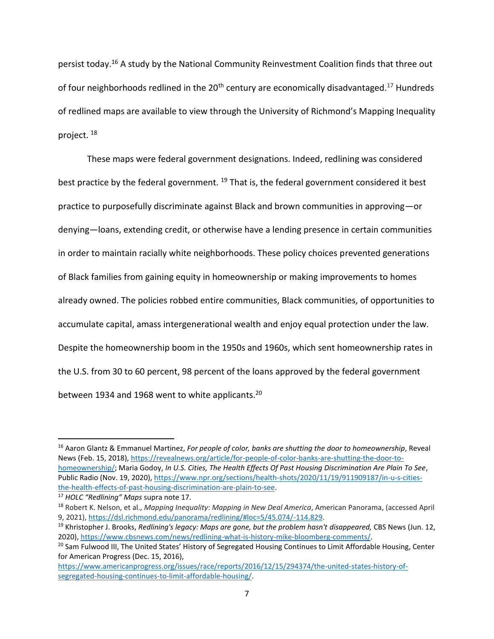persist today.<sup>16</sup> A study by the National Community Reinvestment Coalition finds that three out of four neighborhoods redlined in the 20<sup>th</sup> century are economically disadvantaged.<sup>17</sup> Hundreds of redlined maps are available to view through the University of Richmond's Mapping Inequality project. <sup>18</sup>

These maps were federal government designations. Indeed, redlining was considered best practice by the federal government. <sup>19</sup> That is, the federal government considered it best practice to purposefully discriminate against Black and brown communities in approving—or denying—loans, extending credit, or otherwise have a lending presence in certain communities in order to maintain racially white neighborhoods. These policy choices prevented generations of Black families from gaining equity in homeownership or making improvements to homes already owned. The policies robbed entire communities, Black communities, of opportunities to accumulate capital, amass intergenerational wealth and enjoy equal protection under the law. Despite the homeownership boom in the 1950s and 1960s, which sent homeownership rates in the U.S. from 30 to 60 percent, 98 percent of the loans approved by the federal government between 1934 and 1968 went to white applicants.<sup>20</sup>

<sup>16</sup> Aaron Glantz & Emmanuel Martinez, *For people of color, banks are shutting the door to homeownership*, Reveal News (Feb. 15, 2018), [https://revealnews.org/article/for-people-of-color-banks-are-shutting-the-door-to](https://revealnews.org/article/for-people-of-color-banks-are-shutting-the-door-to-homeownership/)[homeownership/;](https://revealnews.org/article/for-people-of-color-banks-are-shutting-the-door-to-homeownership/) Maria Godoy, *In U.S. Cities, The Health Effects Of Past Housing Discrimination Are Plain To See*, Public Radio (Nov. 19, 2020), [https://www.npr.org/sections/health-shots/2020/11/19/911909187/in-u-s-cities-](https://www.npr.org/sections/health-shots/2020/11/19/911909187/in-u-s-cities-the-health-effects-of-past-housing-discrimination-are-plain-to-see)

[the-health-effects-of-past-housing-discrimination-are-plain-to-see.](https://www.npr.org/sections/health-shots/2020/11/19/911909187/in-u-s-cities-the-health-effects-of-past-housing-discrimination-are-plain-to-see)

<sup>17</sup> *HOLC "Redlining" Maps* supra note 17.

<sup>18</sup> Robert K. Nelson, et al., *Mapping Inequality*: *Mapping in New Deal America*, American Panorama, (accessed April 9, 2021), [https://dsl.richmond.edu/panorama/redlining/#loc=5/45.074/-114.829.](https://dsl.richmond.edu/panorama/redlining/#loc=5/45.074/-114.829)

<sup>19</sup> Khristopher J. Brooks, *Redlining's legacy: Maps are gone, but the problem hasn't disappeared,* CBS News (Jun. 12, 2020), [https://www.cbsnews.com/news/redlining-what-is-history-mike-bloomberg-comments/.](https://www.cbsnews.com/news/redlining-what-is-history-mike-bloomberg-comments/) 

<sup>&</sup>lt;sup>20</sup> Sam Fulwood III, The United States' History of Segregated Housing Continues to Limit Affordable Housing, Center for American Progress (Dec. 15, 2016),

[https://www.americanprogress.org/issues/race/reports/2016/12/15/294374/the-united-states-history-of](https://www.americanprogress.org/issues/race/reports/2016/12/15/294374/the-united-states-history-of-segregated-housing-continues-to-limit-affordable-housing/)[segregated-housing-continues-to-limit-affordable-housing/.](https://www.americanprogress.org/issues/race/reports/2016/12/15/294374/the-united-states-history-of-segregated-housing-continues-to-limit-affordable-housing/)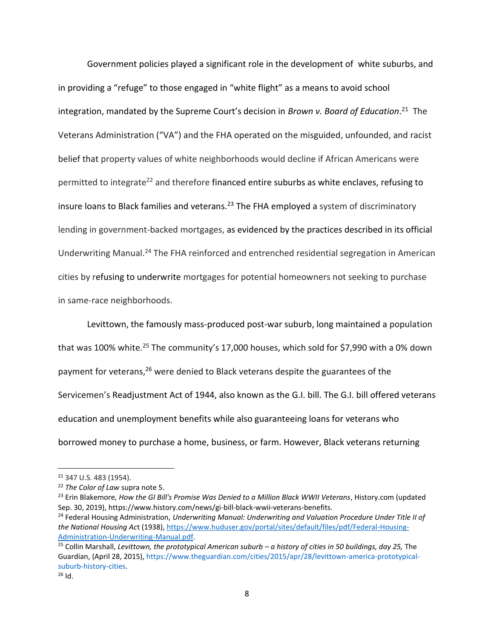Government policies played a significant role in the development of white suburbs, and in providing a "refuge" to those engaged in "white flight" as a means to avoid school integration, mandated by the Supreme Court's decision in *Brown v. Board of Education*.<sup>21</sup> The Veterans Administration ("VA") and the FHA operated on the misguided, unfounded, and racist belief that property values of white neighborhoods would decline if African Americans were permitted to integrate<sup>22</sup> and therefore financed entire suburbs as white enclaves, refusing to insure loans to Black families and veterans.<sup>23</sup> The FHA employed a system of discriminatory lending in government-backed mortgages, as evidenced by the practices described in its official Underwriting Manual.<sup>24</sup> The FHA reinforced and entrenched residential segregation in American cities by refusing to underwrite mortgages for potential homeowners not seeking to purchase in same-race neighborhoods.

Levittown, the famously mass-produced post-war suburb, long maintained a population that was 100% white.<sup>25</sup> The community's 17,000 houses, which sold for \$7,990 with a 0% down payment for veterans,<sup>26</sup> were denied to Black veterans despite the guarantees of the Servicemen's Readjustment Act of 1944, also known as the G.I. bill. The G.I. bill offered veterans education and unemployment benefits while also guaranteeing loans for veterans who borrowed money to purchase a home, business, or farm. However, Black veterans returning

<sup>21</sup> 347 U.S. 483 (1954).

<sup>22</sup> *The Color of Law* supra note 5.

<sup>23</sup> Erin Blakemore, *How the GI Bill's Promise Was Denied to a Million Black WWII Veterans*, History.com (updated Sep. 30, 2019), https://www.history.com/news/gi-bill-black-wwii-veterans-benefits.

<sup>24</sup> Federal Housing Administration, *Underwriting Manual: Underwriting and Valuation Procedure Under Title II of the National Housing Ac*t (1938)[, https://www.huduser.gov/portal/sites/default/files/pdf/Federal-Housing-](https://www.huduser.gov/portal/sites/default/files/pdf/Federal-Housing-Administration-Underwriting-Manual.pdf)[Administration-Underwriting-Manual.pdf.](https://www.huduser.gov/portal/sites/default/files/pdf/Federal-Housing-Administration-Underwriting-Manual.pdf)

<sup>25</sup> Collin Marshall, *Levittown, the prototypical American suburb – a history of cities in 50 buildings, day 25,* The Guardian, (April 28, 2015)[, https://www.theguardian.com/cities/2015/apr/28/levittown-america-prototypical](https://www.theguardian.com/cities/2015/apr/28/levittown-america-prototypical-suburb-history-cities)[suburb-history-cities.](https://www.theguardian.com/cities/2015/apr/28/levittown-america-prototypical-suburb-history-cities)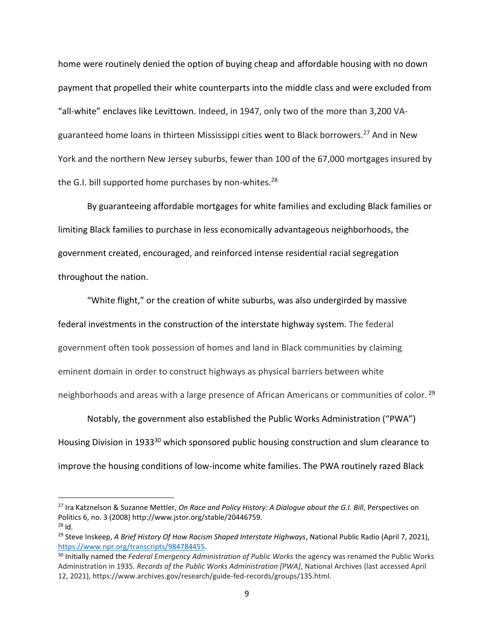home were routinely denied the option of buying cheap and affordable housing with no down payment that propelled their white counterparts into the middle class and were excluded from "all-white" enclaves like Levittown. Indeed, in 1947, only two of the more than 3,200 VAguaranteed home loans in thirteen Mississippi cities went to Black borrowers.<sup>27</sup> And in New York and the northern New Jersey suburbs, fewer than 100 of the 67,000 mortgages insured by the G.I. bill supported home purchases by non-whites.<sup>28</sup>

By guaranteeing affordable mortgages for white families and excluding Black families or limiting Black families to purchase in less economically advantageous neighborhoods, the government created, encouraged, and reinforced intense residential racial segregation throughout the nation.

"White flight," or the creation of white suburbs, was also undergirded by massive federal investments in the construction of the interstate highway system. The federal government often took possession of homes and land in Black communities by claiming eminent domain in order to construct highways as physical barriers between white neighborhoods and areas with a large presence of African Americans or communities of color. 29

Notably, the government also established the Public Works Administration ("PWA") Housing Division in 1933<sup>30</sup> which sponsored public housing construction and slum clearance to improve the housing conditions of low-income white families. The PWA routinely razed Black

<sup>27</sup> Ira Katznelson & Suzanne Mettler, *On Race and Policy History: A Dialogue about the G.I. Bill*, Perspectives on Politics 6, no. 3 (2008) http://www.jstor.org/stable/20446759.  $28$  Id.

<sup>29</sup> Steve Inskeep, *A Brief History Of How Racism Shaped Interstate Highways*, National Public Radio (April 7, 2021), [https://www.npr.org/transcripts/984784455.](https://www.npr.org/transcripts/984784455)

<sup>30</sup> Initially named the *Federal Emergency Administration of Public Works* the agency was renamed the Public Works Administration in 1935. *Records of the Public Works Administration [PWA]*, National Archives (last accessed April 12, 2021), https://www.archives.gov/research/guide-fed-records/groups/135.html.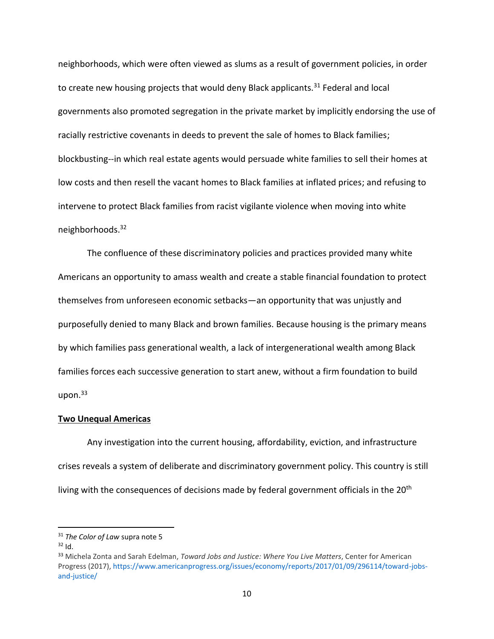neighborhoods, which were often viewed as slums as a result of government policies, in order to create new housing projects that would deny Black applicants.<sup>31</sup> Federal and local governments also promoted segregation in the private market by implicitly endorsing the use of racially restrictive covenants in deeds to prevent the sale of homes to Black families; blockbusting--in which real estate agents would persuade white families to sell their homes at low costs and then resell the vacant homes to Black families at inflated prices; and refusing to intervene to protect Black families from racist vigilante violence when moving into white neighborhoods.<sup>32</sup>

The confluence of these discriminatory policies and practices provided many white Americans an opportunity to amass wealth and create a stable financial foundation to protect themselves from unforeseen economic setbacks—an opportunity that was unjustly and purposefully denied to many Black and brown families. Because housing is the primary means by which families pass generational wealth, a lack of intergenerational wealth among Black families forces each successive generation to start anew, without a firm foundation to build upon. $33$ 

### **Two Unequal Americas**

Any investigation into the current housing, affordability, eviction, and infrastructure crises reveals a system of deliberate and discriminatory government policy. This country is still living with the consequences of decisions made by federal government officials in the 20<sup>th</sup>

<sup>31</sup> *The Color of Law* supra note 5

 $32$  Id.

<sup>33</sup> Michela Zonta and Sarah Edelman, *Toward Jobs and Justice: Where You Live Matters*, Center for American Progress (2017), [https://www.americanprogress.org/issues/economy/reports/2017/01/09/296114/toward-jobs](https://www.americanprogress.org/issues/economy/reports/2017/01/09/296114/toward-jobs-and-justice/)[and-justice/](https://www.americanprogress.org/issues/economy/reports/2017/01/09/296114/toward-jobs-and-justice/)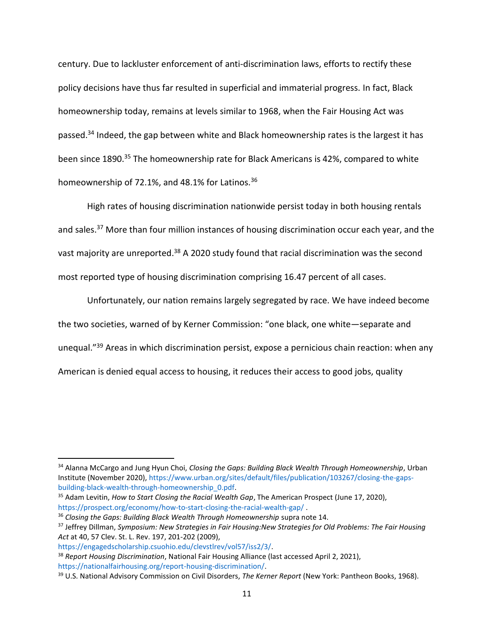century. Due to lackluster enforcement of anti-discrimination laws, efforts to rectify these policy decisions have thus far resulted in superficial and immaterial progress. In fact, Black homeownership today, remains at levels similar to 1968, when the Fair Housing Act was passed.<sup>34</sup> Indeed, the gap between white and Black homeownership rates is the largest it has been since 1890.<sup>35</sup> The homeownership rate for Black Americans is 42%, compared to white homeownership of 72.1%, and 48.1% for Latinos.<sup>36</sup>

High rates of housing discrimination nationwide persist today in both housing rentals and sales.<sup>37</sup> More than four million instances of housing discrimination occur each year, and the vast majority are unreported.<sup>38</sup> A 2020 study found that racial discrimination was the second most reported type of housing discrimination comprising 16.47 percent of all cases.

Unfortunately, our nation remains largely segregated by race. We have indeed become the two societies, warned of by Kerner Commission: "one black, one white—separate and unequal."<sup>39</sup> Areas in which discrimination persist, expose a pernicious chain reaction: when any American is denied equal access to housing, it reduces their access to good jobs, quality

<sup>34</sup> Alanna McCargo and Jung Hyun Choi, *Closing the Gaps: Building Black Wealth Through Homeownership*, Urban Institute (November 2020), [https://www.urban.org/sites/default/files/publication/103267/closing-the-gaps](https://www.urban.org/sites/default/files/publication/103267/closing-the-gaps-building-black-wealth-through-homeownership_0.pdf)[building-black-wealth-through-homeownership\\_0.pdf.](https://www.urban.org/sites/default/files/publication/103267/closing-the-gaps-building-black-wealth-through-homeownership_0.pdf)

<sup>35</sup> Adam Levitin, *How to Start Closing the Racial Wealth Gap*, The American Prospect (June 17, 2020), <https://prospect.org/economy/how-to-start-closing-the-racial-wealth-gap/> .

<sup>&</sup>lt;sup>36</sup> Closing the Gaps: Building Black Wealth Through Homeownership supra note 14.

<sup>37</sup> Jeffrey Dillman, *Symposium: New Strategies in Fair Housing:New Strategies for Old Problems: The Fair Housing Act* at 40, 57 Clev. St. L. Rev. 197, 201-202 (2009),

[https://engagedscholarship.csuohio.edu/clevstlrev/vol57/iss2/3/.](https://engagedscholarship.csuohio.edu/clevstlrev/vol57/iss2/3/) <sup>38</sup> *Report Housing Discrimination*, National Fair Housing Alliance (last accessed April 2, 2021), [https://nationalfairhousing.org/report-housing-discrimination/.](https://nationalfairhousing.org/report-housing-discrimination/)

<sup>39</sup> U.S. National Advisory Commission on Civil Disorders, *The Kerner Report* (New York: Pantheon Books, 1968).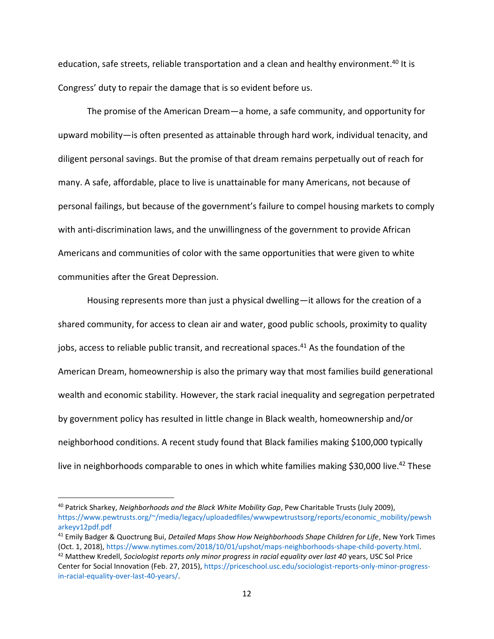education, safe streets, reliable transportation and a clean and healthy environment.<sup>40</sup> It is Congress' duty to repair the damage that is so evident before us.

The promise of the American Dream—a home, a safe community, and opportunity for upward mobility—is often presented as attainable through hard work, individual tenacity, and diligent personal savings. But the promise of that dream remains perpetually out of reach for many. A safe, affordable, place to live is unattainable for many Americans, not because of personal failings, but because of the government's failure to compel housing markets to comply with anti-discrimination laws, and the unwillingness of the government to provide African Americans and communities of color with the same opportunities that were given to white communities after the Great Depression.

Housing represents more than just a physical dwelling—it allows for the creation of a shared community, for access to clean air and water, good public schools, proximity to quality jobs, access to reliable public transit, and recreational spaces.<sup>41</sup> As the foundation of the American Dream, homeownership is also the primary way that most families build generational wealth and economic stability. However, the stark racial inequality and segregation perpetrated by government policy has resulted in little change in Black wealth, homeownership and/or neighborhood conditions. A recent study found that Black families making \$100,000 typically live in neighborhoods comparable to ones in which white families making \$30,000 live.<sup>42</sup> These

<sup>40</sup> Patrick Sharkey, *Neighborhoods and the Black White Mobility Gap*, Pew Charitable Trusts (July 2009), [https://www.pewtrusts.org/~/media/legacy/uploadedfiles/wwwpewtrustsorg/reports/economic\\_mobility/pewsh](https://www.pewtrusts.org/~/media/legacy/uploadedfiles/wwwpewtrustsorg/reports/economic_mobility/pewsharkeyv12pdf.pdf) [arkeyv12pdf.pdf](https://www.pewtrusts.org/~/media/legacy/uploadedfiles/wwwpewtrustsorg/reports/economic_mobility/pewsharkeyv12pdf.pdf)

<sup>41</sup> Emily Badger & Quoctrung Bui, *Detailed Maps Show How Neighborhoods Shape Children for Life*, New York Times (Oct. 1, 2018), [https://www.nytimes.com/2018/10/01/upshot/maps-neighborhoods-shape-child-poverty.html.](https://www.nytimes.com/2018/10/01/upshot/maps-neighborhoods-shape-child-poverty.html)

<sup>&</sup>lt;sup>42</sup> Matthew Kredell, *Sociologist reports only minor progress in racial equality over last 40* years, USC Sol Price Center for Social Innovation (Feb. 27, 2015), [https://priceschool.usc.edu/sociologist-reports-only-minor-progress](https://priceschool.usc.edu/sociologist-reports-only-minor-progress-in-racial-equality-over-last-40-years/)[in-racial-equality-over-last-40-years/.](https://priceschool.usc.edu/sociologist-reports-only-minor-progress-in-racial-equality-over-last-40-years/)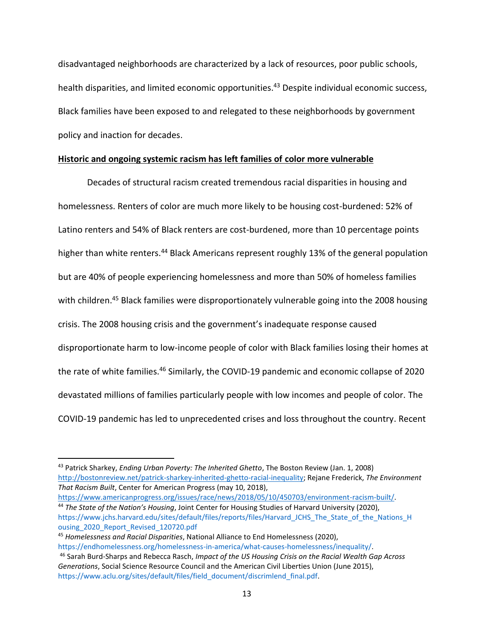disadvantaged neighborhoods are characterized by a lack of resources, poor public schools, health disparities, and limited economic opportunities.<sup>43</sup> Despite individual economic success, Black families have been exposed to and relegated to these neighborhoods by government policy and inaction for decades.

# **Historic and ongoing systemic racism has left families of color more vulnerable**

Decades of structural racism created tremendous racial disparities in housing and homelessness. Renters of color are much more likely to be housing cost-burdened: 52% of Latino renters and 54% of Black renters are cost-burdened, more than 10 percentage points higher than white renters.<sup>44</sup> Black Americans represent roughly 13% of the general population but are 40% of people experiencing homelessness and more than 50% of homeless families with children.<sup>45</sup> Black families were disproportionately vulnerable going into the 2008 housing crisis. The 2008 housing crisis and the government's inadequate response caused disproportionate harm to low-income people of color with Black families losing their homes at the rate of white families.<sup>46</sup> Similarly, the COVID-19 pandemic and economic collapse of 2020 devastated millions of families particularly people with low incomes and people of color. The COVID-19 pandemic has led to unprecedented crises and loss throughout the country. Recent

[https://www.americanprogress.org/issues/race/news/2018/05/10/450703/environment-racism-built/.](https://www.americanprogress.org/issues/race/news/2018/05/10/450703/environment-racism-built/) <sup>44</sup> *The State of the Nation's Housing*, Joint Center for Housing Studies of Harvard University (2020),

<sup>43</sup> Patrick Sharkey, *Ending Urban Poverty: The Inherited Ghetto*, The Boston Review (Jan. 1, 2008) [http://bostonreview.net/patrick-sharkey-inherited-ghetto-racial-inequality;](http://bostonreview.net/patrick-sharkey-inherited-ghetto-racial-inequality) Rejane Frederick, *The Environment That Racism Built*, Center for American Progress (may 10, 2018),

https://www.jchs.harvard.edu/sites/default/files/reports/files/Harvard JCHS The State of the Nations H [ousing\\_2020\\_Report\\_Revised\\_120720.pdf](https://www.jchs.harvard.edu/sites/default/files/reports/files/Harvard_JCHS_The_State_of_the_Nations_H%20ousing_2020_Report_Revised_120720.pdf)

<sup>45</sup> *Homelessness and Racial Disparities*, National Alliance to End Homelessness (2020),

[https://endhomelessness.org/homelessness-in-america/what-causes-homelessness/inequality/.](https://endhomelessness.org/homelessness-in-america/what-causes-homelessness/inequality/) <sup>46</sup> Sarah Burd-Sharps and Rebecca Rasch, *Impact of the US Housing Crisis on the Racial Wealth Gap Across Generations*, Social Science Resource Council and the American Civil Liberties Union (June 2015), [https://www.aclu.org/sites/default/files/field\\_document/discrimlend\\_final.pdf.](https://www.aclu.org/sites/default/files/field_document/discrimlend_final.pdf)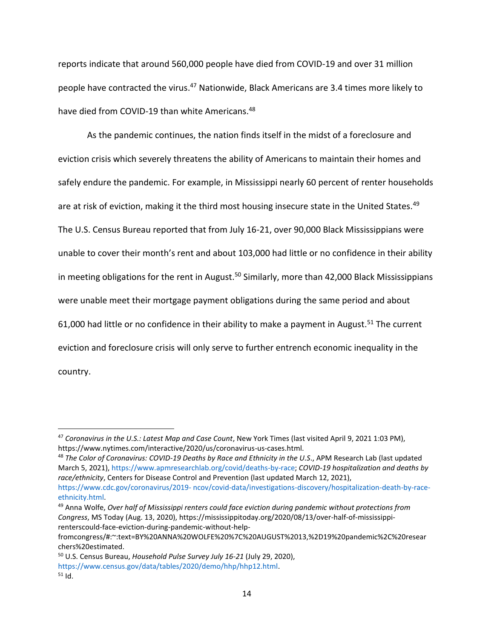reports indicate that around 560,000 people have died from COVID-19 and over 31 million people have contracted the virus.<sup>47</sup> Nationwide, Black Americans are 3.4 times more likely to have died from COVID-19 than white Americans.<sup>48</sup>

As the pandemic continues, the nation finds itself in the midst of a foreclosure and eviction crisis which severely threatens the ability of Americans to maintain their homes and safely endure the pandemic. For example, in Mississippi nearly 60 percent of renter households are at risk of eviction, making it the third most housing insecure state in the United States.<sup>49</sup> The U.S. Census Bureau reported that from July 16-21, over 90,000 Black Mississippians were unable to cover their month's rent and about 103,000 had little or no confidence in their ability in meeting obligations for the rent in August.<sup>50</sup> Similarly, more than 42,000 Black Mississippians were unable meet their mortgage payment obligations during the same period and about 61,000 had little or no confidence in their ability to make a payment in August.<sup>51</sup> The current eviction and foreclosure crisis will only serve to further entrench economic inequality in the country.

<sup>47</sup> *Coronavirus in the U.S.: Latest Map and Case Count*, New York Times (last visited April 9, 2021 1:03 PM), https://www.nytimes.com/interactive/2020/us/coronavirus-us-cases.html.

<sup>48</sup> *The Color of Coronavirus: COVID-19 Deaths by Race and Ethnicity in the U.S*., APM Research Lab (last updated March 5, 2021)[, https://www.apmresearchlab.org/covid/deaths-by-race;](https://www.apmresearchlab.org/covid/deaths-by-race) *COVID-19 hospitalization and deaths by race/ethnicity*, Centers for Disease Control and Prevention (last updated March 12, 2021), https://www.cdc.gov/coronavirus/2019- [ncov/covid-data/investigations-discovery/hospitalization-death-by-race](https://www.cdc.gov/coronavirus/2019-%20ncov/covid-data/investigations-discovery/hospitalization-death-by-race-ethnicity.html)[ethnicity.html.](https://www.cdc.gov/coronavirus/2019-%20ncov/covid-data/investigations-discovery/hospitalization-death-by-race-ethnicity.html)

<sup>49</sup> Anna Wolfe, *Over half of Mississippi renters could face eviction during pandemic without protections from Congress*, MS Today (Aug. 13, 2020), https://mississippitoday.org/2020/08/13/over-half-of-mississippirenterscould-face-eviction-during-pandemic-without-help-

fromcongress/#:~:text=BY%20ANNA%20WOLFE%20%7C%20AUGUST%2013,%2D19%20pandemic%2C%20resear chers%20estimated.

<sup>50</sup> U.S. Census Bureau, *Household Pulse Survey July 16-21* (July 29, 2020), [https://www.census.gov/data/tables/2020/demo/hhp/hhp12.html.](https://www.census.gov/data/tables/2020/demo/hhp/hhp12.html)  $51$  Id.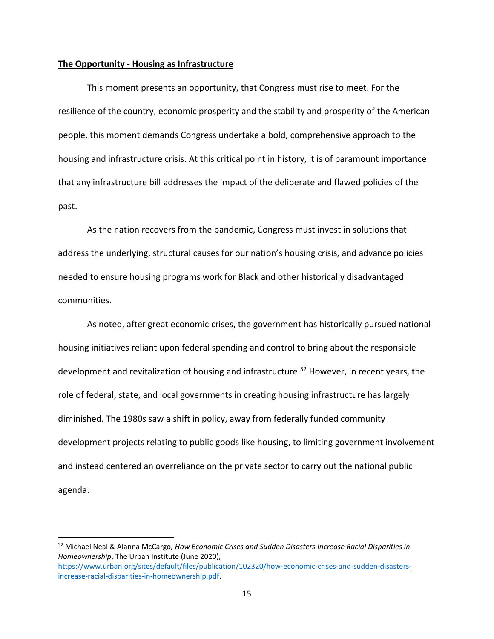### **The Opportunity - Housing as Infrastructure**

This moment presents an opportunity, that Congress must rise to meet. For the resilience of the country, economic prosperity and the stability and prosperity of the American people, this moment demands Congress undertake a bold, comprehensive approach to the housing and infrastructure crisis. At this critical point in history, it is of paramount importance that any infrastructure bill addresses the impact of the deliberate and flawed policies of the past.

As the nation recovers from the pandemic, Congress must invest in solutions that address the underlying, structural causes for our nation's housing crisis, and advance policies needed to ensure housing programs work for Black and other historically disadvantaged communities.

As noted, after great economic crises, the government has historically pursued national housing initiatives reliant upon federal spending and control to bring about the responsible development and revitalization of housing and infrastructure. <sup>52</sup> However, in recent years, the role of federal, state, and local governments in creating housing infrastructure has largely diminished. The 1980s saw a shift in policy, away from federally funded community development projects relating to public goods like housing, to limiting government involvement and instead centered an overreliance on the private sector to carry out the national public agenda.

<sup>52</sup> Michael Neal & Alanna McCargo*, How Economic Crises and Sudden Disasters Increase Racial Disparities in Homeownership*, The Urban Institute (June 2020), [https://www.urban.org/sites/default/files/publication/102320/how-economic-crises-and-sudden-disasters](https://www.urban.org/sites/default/files/publication/102320/how-economic-crises-and-sudden-disasters-increase-racial-disparities-in-homeownership.pdf)[increase-racial-disparities-in-homeownership.pdf.](https://www.urban.org/sites/default/files/publication/102320/how-economic-crises-and-sudden-disasters-increase-racial-disparities-in-homeownership.pdf)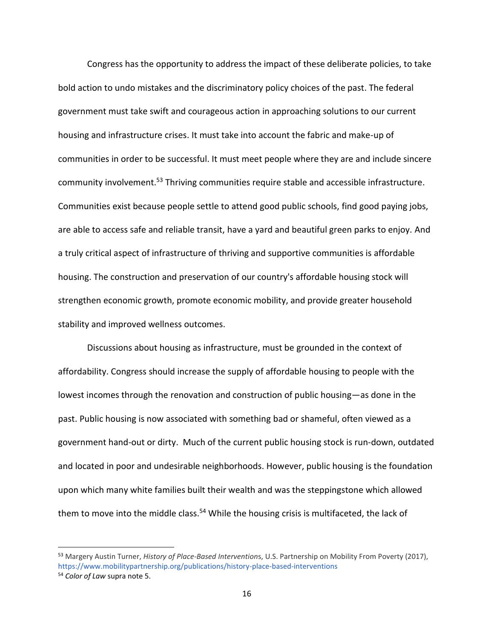Congress has the opportunity to address the impact of these deliberate policies, to take bold action to undo mistakes and the discriminatory policy choices of the past. The federal government must take swift and courageous action in approaching solutions to our current housing and infrastructure crises. It must take into account the fabric and make-up of communities in order to be successful. It must meet people where they are and include sincere community involvement.<sup>53</sup> Thriving communities require stable and accessible infrastructure. Communities exist because people settle to attend good public schools, find good paying jobs, are able to access safe and reliable transit, have a yard and beautiful green parks to enjoy. And a truly critical aspect of infrastructure of thriving and supportive communities is affordable housing. The construction and preservation of our country's affordable housing stock will strengthen economic growth, promote economic mobility, and provide greater household stability and improved wellness outcomes.

Discussions about housing as infrastructure, must be grounded in the context of affordability. Congress should increase the supply of affordable housing to people with the lowest incomes through the renovation and construction of public housing—as done in the past. Public housing is now associated with something bad or shameful, often viewed as a government hand-out or dirty. Much of the current public housing stock is run-down, outdated and located in poor and undesirable neighborhoods. However, public housing is the foundation upon which many white families built their wealth and was the steppingstone which allowed them to move into the middle class.<sup>54</sup> While the housing crisis is multifaceted, the lack of

<sup>53</sup> Margery Austin Turner, *History of Place-Based Intervention*s, U.S. Partnership on Mobility From Poverty (2017), <https://www.mobilitypartnership.org/publications/history-place-based-interventions>

<sup>54</sup> *Color of Law* supra note 5.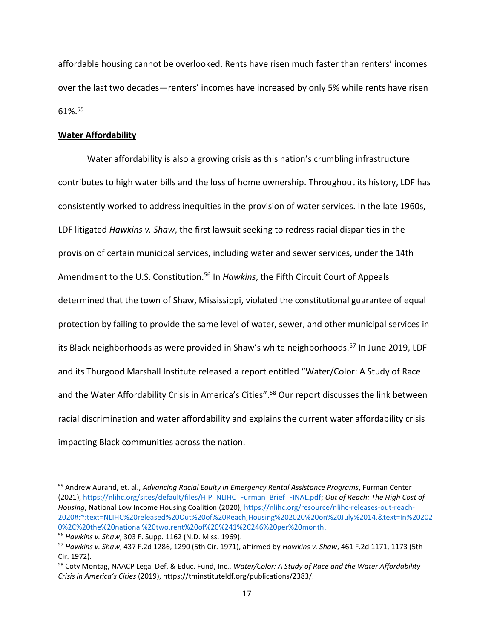affordable housing cannot be overlooked. Rents have risen much faster than renters' incomes over the last two decades—renters' incomes have increased by only 5% while rents have risen 61%.<sup>55</sup>

### **Water Affordability**

Water affordability is also a growing crisis as this nation's crumbling infrastructure contributes to high water bills and the loss of home ownership. Throughout its history, LDF has consistently worked to address inequities in the provision of water services. In the late 1960s, LDF litigated *Hawkins v. Shaw*, the first lawsuit seeking to redress racial disparities in the provision of certain municipal services, including water and sewer services, under the 14th Amendment to the U.S. Constitution.<sup>56</sup> In *Hawkins*, the Fifth Circuit Court of Appeals determined that the town of Shaw, Mississippi, violated the constitutional guarantee of equal protection by failing to provide the same level of water, sewer, and other municipal services in its Black neighborhoods as were provided in Shaw's white neighborhoods.<sup>57</sup> In June 2019, LDF and its Thurgood Marshall Institute released a report entitled "Water/Color: A Study of Race and the Water Affordability Crisis in America's Cities". <sup>58</sup> Our report discusses the link between racial discrimination and water affordability and explains the current water affordability crisis impacting Black communities across the nation.

<sup>55</sup> Andrew Aurand, et. al., *Advancing Racial Equity in Emergency Rental Assistance Programs*, Furman Center (2021), [https://nlihc.org/sites/default/files/HIP\\_NLIHC\\_Furman\\_Brief\\_FINAL.pdf;](https://nlihc.org/sites/default/files/HIP_NLIHC_Furman_Brief_FINAL.pdf) *Out of Reach: The High Cost of Housing*, National Low Income Housing Coalition (2020)[, https://nlihc.org/resource/nlihc-releases-out-reach-](https://nlihc.org/resource/nlihc-releases-out-reach-2020#:~:text=NLIHC%20released%20Out%20of%20Reach,Housing%202020%20on%20July%2014.&text=In%202020%2C%20the%20national%20two,rent%20of%20%241%2C246%20per%20month)[2020#:~:text=NLIHC%20released%20Out%20of%20Reach,Housing%202020%20on%20July%2014.&text=In%20202](https://nlihc.org/resource/nlihc-releases-out-reach-2020#:~:text=NLIHC%20released%20Out%20of%20Reach,Housing%202020%20on%20July%2014.&text=In%202020%2C%20the%20national%20two,rent%20of%20%241%2C246%20per%20month) [0%2C%20the%20national%20two,rent%20of%20%241%2C246%20per%20month.](https://nlihc.org/resource/nlihc-releases-out-reach-2020#:~:text=NLIHC%20released%20Out%20of%20Reach,Housing%202020%20on%20July%2014.&text=In%202020%2C%20the%20national%20two,rent%20of%20%241%2C246%20per%20month)

<sup>56</sup> *Hawkins v. Shaw*, 303 F. Supp. 1162 (N.D. Miss. 1969).

<sup>57</sup> *Hawkins v. Shaw*, 437 F.2d 1286, 1290 (5th Cir. 1971), affirmed by *Hawkins v. Shaw*, 461 F.2d 1171, 1173 (5th Cir. 1972).

<sup>58</sup> Coty Montag, NAACP Legal Def. & Educ. Fund, Inc., *Water/Color: A Study of Race and the Water Affordability Crisis in America's Cities* (2019), https://tminstituteldf.org/publications/2383/.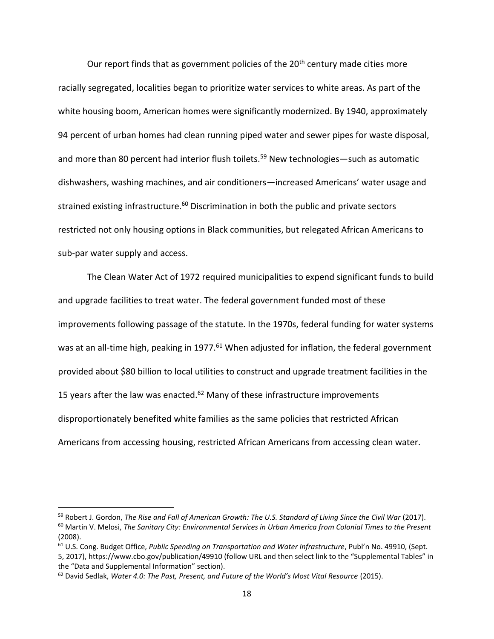Our report finds that as government policies of the  $20<sup>th</sup>$  century made cities more racially segregated, localities began to prioritize water services to white areas. As part of the white housing boom, American homes were significantly modernized. By 1940, approximately 94 percent of urban homes had clean running piped water and sewer pipes for waste disposal, and more than 80 percent had interior flush toilets.<sup>59</sup> New technologies—such as automatic dishwashers, washing machines, and air conditioners—increased Americans' water usage and strained existing infrastructure.<sup>60</sup> Discrimination in both the public and private sectors restricted not only housing options in Black communities, but relegated African Americans to sub-par water supply and access.

The Clean Water Act of 1972 required municipalities to expend significant funds to build and upgrade facilities to treat water. The federal government funded most of these improvements following passage of the statute. In the 1970s, federal funding for water systems was at an all-time high, peaking in 1977.<sup>61</sup> When adjusted for inflation, the federal government provided about \$80 billion to local utilities to construct and upgrade treatment facilities in the 15 years after the law was enacted.<sup>62</sup> Many of these infrastructure improvements disproportionately benefited white families as the same policies that restricted African Americans from accessing housing, restricted African Americans from accessing clean water.

<sup>59</sup> Robert J. Gordon, *The Rise and Fall of American Growth: The U.S. Standard of Living Since the Civil War* (2017). <sup>60</sup> Martin V. Melosi, *The Sanitary City: Environmental Services in Urban America from Colonial Times to the Present*  (2008).

<sup>61</sup> U.S. Cong. Budget Office, *Public Spending on Transportation and Water Infrastructure*, Publ'n No. 49910, (Sept. 5, 2017), https://www.cbo.gov/publication/49910 (follow URL and then select link to the "Supplemental Tables" in the "Data and Supplemental Information" section).

<sup>62</sup> David Sedlak, *Water 4.0: The Past, Present, and Future of the World's Most Vital Resource* (2015).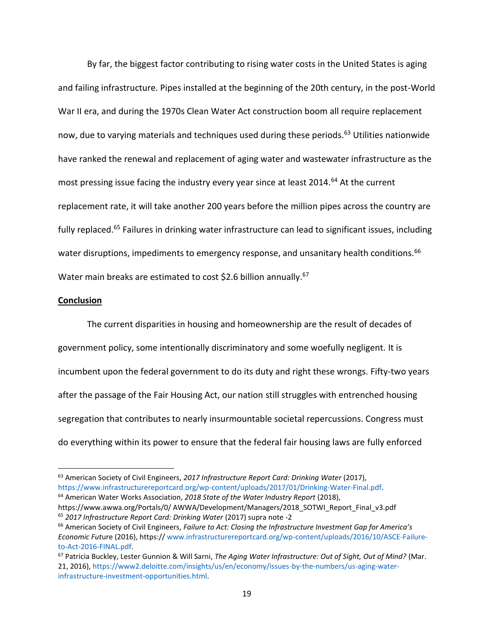By far, the biggest factor contributing to rising water costs in the United States is aging and failing infrastructure. Pipes installed at the beginning of the 20th century, in the post-World War II era, and during the 1970s Clean Water Act construction boom all require replacement now, due to varying materials and techniques used during these periods.<sup>63</sup> Utilities nationwide have ranked the renewal and replacement of aging water and wastewater infrastructure as the most pressing issue facing the industry every year since at least 2014.<sup>64</sup> At the current replacement rate, it will take another 200 years before the million pipes across the country are fully replaced.<sup>65</sup> Failures in drinking water infrastructure can lead to significant issues, including water disruptions, impediments to emergency response, and unsanitary health conditions.<sup>66</sup> Water main breaks are estimated to cost \$2.6 billion annually.<sup>67</sup>

#### **Conclusion**

The current disparities in housing and homeownership are the result of decades of government policy, some intentionally discriminatory and some woefully negligent. It is incumbent upon the federal government to do its duty and right these wrongs. Fifty-two years after the passage of the Fair Housing Act, our nation still struggles with entrenched housing segregation that contributes to nearly insurmountable societal repercussions. Congress must do everything within its power to ensure that the federal fair housing laws are fully enforced

<sup>63</sup> American Society of Civil Engineers, *2017 Infrastructure Report Card: Drinking Water* (2017), [https://www.infrastructurereportcard.org/wp-content/uploads/2017/01/Drinking-Water-Final.pdf.](https://www.infrastructurereportcard.org/wp-content/uploads/2017/01/Drinking-Water-Final.pdf) <sup>64</sup> American Water Works Association, *2018 State of the Water Industry Report* (2018),

https://www.awwa.org/Portals/0/ AWWA/Development/Managers/2018\_SOTWI\_Report\_Final\_v3.pdf <sup>65</sup> *2017 Infrastructure Report Card: Drinking Water* (2017) supra note -2

<sup>66</sup> American Society of Civil Engineers, *Failure to Act: Closing the Infrastructure Investment Gap for America's Economic Fut*ure (2016), https:// [www.infrastructurereportcard.org/wp-content/uploads/2016/10/ASCE-Failure](http://www.infrastructurereportcard.org/wp-content/uploads/2016/10/ASCE-Failure-to-Act-2016-FINAL.pdf)[to-Act-2016-FINAL.pdf.](http://www.infrastructurereportcard.org/wp-content/uploads/2016/10/ASCE-Failure-to-Act-2016-FINAL.pdf)

<sup>67</sup> Patricia Buckley, Lester Gunnion & Will Sarni, *The Aging Water Infrastructure: Out of Sight, Out of Mind?* (Mar. 21, 2016), [https://www2.deloitte.com/insights/us/en/economy/issues-by-the-numbers/us-aging-water](https://www2.deloitte.com/insights/us/en/economy/issues-by-the-numbers/us-aging-water-infrastructure-investment-opportunities.html)[infrastructure-investment-opportunities.html.](https://www2.deloitte.com/insights/us/en/economy/issues-by-the-numbers/us-aging-water-infrastructure-investment-opportunities.html)